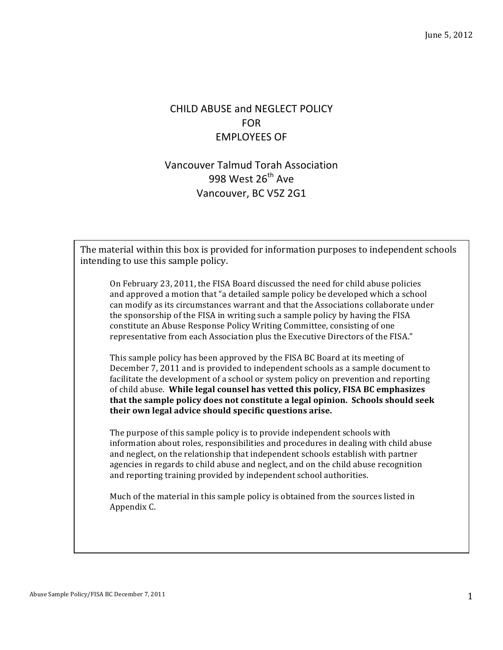## CHILD ABUSE and NEGLECT POLICY FOR EMPLOYEES OF

## Vancouver Talmud Torah Association 998 West  $26^{th}$  Ave Vancouver, BC V5Z 2G1

The material within this box is provided for information purposes to independent schools intending to use this sample policy.

On February 23, 2011, the FISA Board discussed the need for child abuse policies and approved a motion that "a detailed sample policy be developed which a school can modify as its circumstances warrant and that the Associations collaborate under the sponsorship of the FISA in writing such a sample policy by having the FISA constitute an Abuse Response Policy Writing Committee, consisting of one representative from each Association plus the Executive Directors of the FISA."

This sample policy has been approved by the FISA BC Board at its meeting of December 7, 2011 and is provided to independent schools as a sample document to facilitate the development of a school or system policy on prevention and reporting of child abuse. While legal counsel has vetted this policy, FISA BC emphasizes **that the sample policy does not constitute a legal opinion. Schools should seek** their own legal advice should specific questions arise.

The purpose of this sample policy is to provide independent schools with information about roles, responsibilities and procedures in dealing with child abuse and neglect, on the relationship that independent schools establish with partner agencies in regards to child abuse and neglect, and on the child abuse recognition and reporting training provided by independent school authorities.

Much of the material in this sample policy is obtained from the sources listed in Appendix C.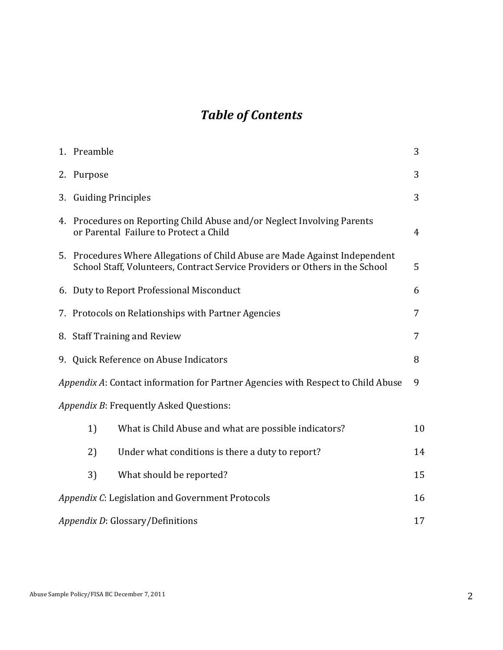# *Table of Contents*

|                                                                                       | 1. Preamble                                                                                                                                                 | 3              |  |
|---------------------------------------------------------------------------------------|-------------------------------------------------------------------------------------------------------------------------------------------------------------|----------------|--|
|                                                                                       | 2. Purpose                                                                                                                                                  | 3              |  |
|                                                                                       | 3. Guiding Principles                                                                                                                                       | 3              |  |
|                                                                                       | 4. Procedures on Reporting Child Abuse and/or Neglect Involving Parents<br>or Parental Failure to Protect a Child                                           | $\overline{4}$ |  |
|                                                                                       | 5. Procedures Where Allegations of Child Abuse are Made Against Independent<br>School Staff, Volunteers, Contract Service Providers or Others in the School | 5              |  |
|                                                                                       | 6. Duty to Report Professional Misconduct                                                                                                                   | 6              |  |
|                                                                                       | 7. Protocols on Relationships with Partner Agencies                                                                                                         | 7              |  |
|                                                                                       | 8. Staff Training and Review                                                                                                                                | 7              |  |
|                                                                                       | 9. Quick Reference on Abuse Indicators                                                                                                                      | 8              |  |
| Appendix A: Contact information for Partner Agencies with Respect to Child Abuse<br>9 |                                                                                                                                                             |                |  |
|                                                                                       | Appendix B: Frequently Asked Questions:                                                                                                                     |                |  |
|                                                                                       | What is Child Abuse and what are possible indicators?<br>1)                                                                                                 | 10             |  |
|                                                                                       | 2)<br>Under what conditions is there a duty to report?                                                                                                      | 14             |  |
|                                                                                       | 3)<br>What should be reported?                                                                                                                              | 15             |  |
| 16<br>Appendix C: Legislation and Government Protocols                                |                                                                                                                                                             |                |  |
|                                                                                       | 17<br>Appendix D: Glossary/Definitions                                                                                                                      |                |  |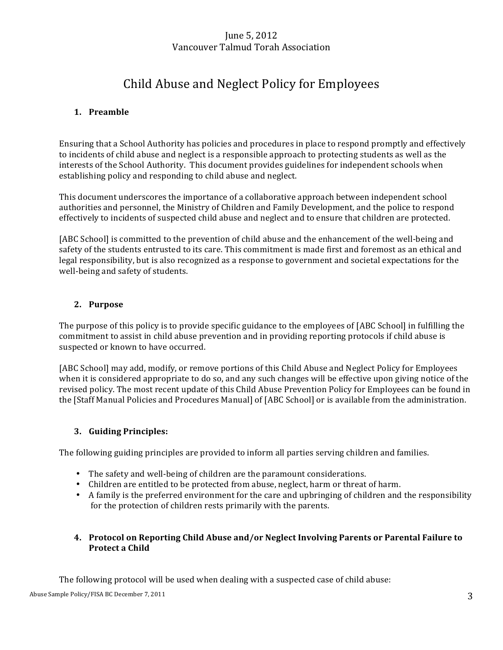## June 5, 2012 Vancouver Talmud Torah Association

# Child Abuse and Neglect Policy for Employees

## **1. Preamble**

Ensuring that a School Authority has policies and procedures in place to respond promptly and effectively to incidents of child abuse and neglect is a responsible approach to protecting students as well as the interests of the School Authority. This document provides guidelines for independent schools when establishing policy and responding to child abuse and neglect.

This document underscores the importance of a collaborative approach between independent school authorities and personnel, the Ministry of Children and Family Development, and the police to respond effectively to incidents of suspected child abuse and neglect and to ensure that children are protected.

[ABC School] is committed to the prevention of child abuse and the enhancement of the well-being and safety of the students entrusted to its care. This commitment is made first and foremost as an ethical and legal responsibility, but is also recognized as a response to government and societal expectations for the well-being and safety of students.

## **2. Purpose**

The purpose of this policy is to provide specific guidance to the employees of [ABC School] in fulfilling the commitment to assist in child abuse prevention and in providing reporting protocols if child abuse is suspected or known to have occurred.

[ABC School] may add, modify, or remove portions of this Child Abuse and Neglect Policy for Employees when it is considered appropriate to do so, and any such changes will be effective upon giving notice of the revised policy. The most recent update of this Child Abuse Prevention Policy for Employees can be found in the [Staff Manual Policies and Procedures Manual] of [ABC School] or is available from the administration.

## **3. Guiding Principles:**

The following guiding principles are provided to inform all parties serving children and families.

- The safety and well-being of children are the paramount considerations.
- Children are entitled to be protected from abuse, neglect, harm or threat of harm.
- A family is the preferred environment for the care and upbringing of children and the responsibility for the protection of children rests primarily with the parents.

## 4. Protocol on Reporting Child Abuse and/or Neglect Involving Parents or Parental Failure to **Protect a Child**

The following protocol will be used when dealing with a suspected case of child abuse: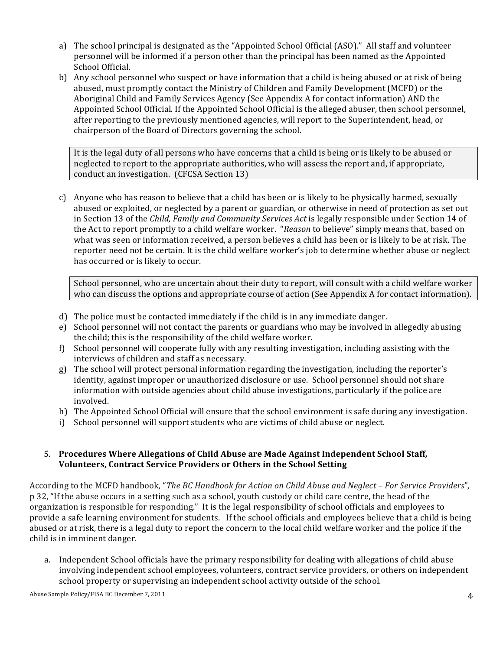- a) The school principal is designated as the "Appointed School Official (ASO)." All staff and volunteer personnel will be informed if a person other than the principal has been named as the Appointed School Official.
- b) Any school personnel who suspect or have information that a child is being abused or at risk of being abused, must promptly contact the Ministry of Children and Family Development (MCFD) or the Aboriginal Child and Family Services Agency (See Appendix A for contact information) AND the Appointed School Official. If the Appointed School Official is the alleged abuser, then school personnel, after reporting to the previously mentioned agencies, will report to the Superintendent, head, or chairperson of the Board of Directors governing the school.

It is the legal duty of all persons who have concerns that a child is being or is likely to be abused or neglected to report to the appropriate authorities, who will assess the report and, if appropriate, conduct an investigation. (CFCSA Section 13)

c) Anyone who has reason to believe that a child has been or is likely to be physically harmed, sexually abused or exploited, or neglected by a parent or guardian, or otherwise in need of protection as set out in Section 13 of the *Child, Family and Community Services Act* is legally responsible under Section 14 of the Act to report promptly to a child welfare worker. "*Reason* to believe" simply means that, based on what was seen or information received, a person believes a child has been or is likely to be at risk. The reporter need not be certain. It is the child welfare worker's job to determine whether abuse or neglect has occurred or is likely to occur.

School personnel, who are uncertain about their duty to report, will consult with a child welfare worker who can discuss the options and appropriate course of action (See Appendix A for contact information).

- d) The police must be contacted immediately if the child is in any immediate danger.
- e) School personnel will not contact the parents or guardians who may be involved in allegedly abusing the child; this is the responsibility of the child welfare worker.
- f) School personnel will cooperate fully with any resulting investigation, including assisting with the interviews of children and staff as necessary.
- g) The school will protect personal information regarding the investigation, including the reporter's identity, against improper or unauthorized disclosure or use. School personnel should not share information with outside agencies about child abuse investigations, particularly if the police are involved.
- h) The Appointed School Official will ensure that the school environment is safe during any investigation.
- i) School personnel will support students who are victims of child abuse or neglect.

## 5. Procedures Where Allegations of Child Abuse are Made Against Independent School Staff, **Volunteers, Contract Service Providers or Others in the School Setting**

According to the MCFD handbook, "The BC Handbook for Action on Child Abuse and Neglect - For Service Providers", p 32, "If the abuse occurs in a setting such as a school, youth custody or child care centre, the head of the organization is responsible for responding." It is the legal responsibility of school officials and employees to provide a safe learning environment for students. If the school officials and employees believe that a child is being abused or at risk, there is a legal duty to report the concern to the local child welfare worker and the police if the child is in imminent danger.

a. Independent School officials have the primary responsibility for dealing with allegations of child abuse involving independent school employees, volunteers, contract service providers, or others on independent school property or supervising an independent school activity outside of the school.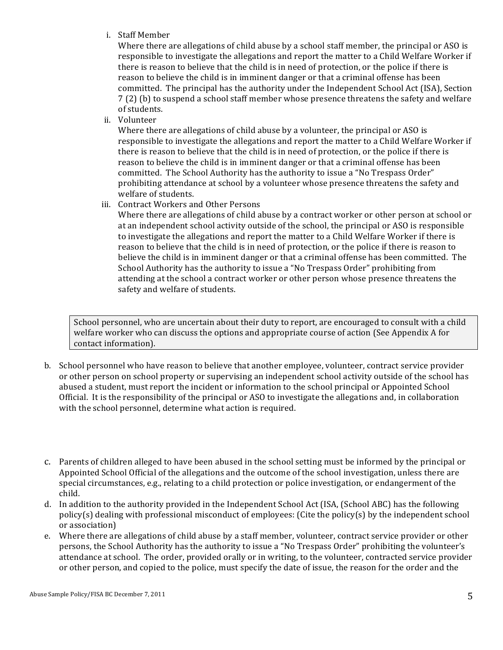i. Staff Member

Where there are allegations of child abuse by a school staff member, the principal or ASO is responsible to investigate the allegations and report the matter to a Child Welfare Worker if there is reason to believe that the child is in need of protection, or the police if there is reason to believe the child is in imminent danger or that a criminal offense has been committed. The principal has the authority under the Independent School Act (ISA), Section 7(2) (b) to suspend a school staff member whose presence threatens the safety and welfare of students.

ii. Volunteer

Where there are allegations of child abuse by a volunteer, the principal or ASO is responsible to investigate the allegations and report the matter to a Child Welfare Worker if there is reason to believe that the child is in need of protection, or the police if there is reason to believe the child is in imminent danger or that a criminal offense has been committed. The School Authority has the authority to issue a "No Trespass Order" prohibiting attendance at school by a volunteer whose presence threatens the safety and welfare of students.

iii. Contract Workers and Other Persons

Where there are allegations of child abuse by a contract worker or other person at school or at an independent school activity outside of the school, the principal or ASO is responsible to investigate the allegations and report the matter to a Child Welfare Worker if there is reason to believe that the child is in need of protection, or the police if there is reason to believe the child is in imminent danger or that a criminal offense has been committed. The School Authority has the authority to issue a "No Trespass Order" prohibiting from attending at the school a contract worker or other person whose presence threatens the safety and welfare of students.

School personnel, who are uncertain about their duty to report, are encouraged to consult with a child welfare worker who can discuss the options and appropriate course of action (See Appendix A for contact information).

b. School personnel who have reason to believe that another employee, volunteer, contract service provider or other person on school property or supervising an independent school activity outside of the school has abused a student, must report the incident or information to the school principal or Appointed School Official. It is the responsibility of the principal or ASO to investigate the allegations and, in collaboration with the school personnel, determine what action is required.

- d. In addition to the authority provided in the Independent School Act (ISA, (School ABC) has the following policy(s) dealing with professional misconduct of employees: (Cite the policy(s) by the independent school or association)
- e. Where there are allegations of child abuse by a staff member, volunteer, contract service provider or other persons, the School Authority has the authority to issue a "No Trespass Order" prohibiting the volunteer's attendance at school. The order, provided orally or in writing, to the volunteer, contracted service provider or other person, and copied to the police, must specify the date of issue, the reason for the order and the

c. Parents of children alleged to have been abused in the school setting must be informed by the principal or Appointed School Official of the allegations and the outcome of the school investigation, unless there are special circumstances, e.g., relating to a child protection or police investigation, or endangerment of the child.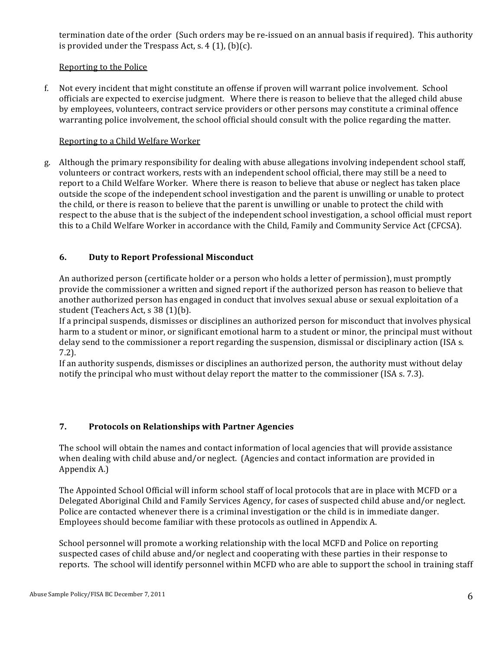termination date of the order (Such orders may be re-issued on an annual basis if required). This authority is provided under the Trespass Act, s.  $4(1)$ , (b)(c).

## Reporting to the Police

f. Not every incident that might constitute an offense if proven will warrant police involvement. School officials are expected to exercise judgment. Where there is reason to believe that the alleged child abuse by employees, volunteers, contract service providers or other persons may constitute a criminal offence warranting police involvement, the school official should consult with the police regarding the matter.

## Reporting to a Child Welfare Worker

g. Although the primary responsibility for dealing with abuse allegations involving independent school staff, volunteers or contract workers, rests with an independent school official, there may still be a need to report to a Child Welfare Worker. Where there is reason to believe that abuse or neglect has taken place outside the scope of the independent school investigation and the parent is unwilling or unable to protect the child, or there is reason to believe that the parent is unwilling or unable to protect the child with respect to the abuse that is the subject of the independent school investigation, a school official must report this to a Child Welfare Worker in accordance with the Child, Family and Community Service Act (CFCSA).

## **6. Duty to Report Professional Misconduct**

An authorized person (certificate holder or a person who holds a letter of permission), must promptly provide the commissioner a written and signed report if the authorized person has reason to believe that another authorized person has engaged in conduct that involves sexual abuse or sexual exploitation of a student (Teachers Act, s 38 (1)(b).

If a principal suspends, dismisses or disciplines an authorized person for misconduct that involves physical harm to a student or minor, or significant emotional harm to a student or minor, the principal must without delay send to the commissioner a report regarding the suspension, dismissal or disciplinary action (ISA s. 7.2).

If an authority suspends, dismisses or disciplines an authorized person, the authority must without delay notify the principal who must without delay report the matter to the commissioner (ISA s. 7.3).

## **7. Protocols on Relationships with Partner Agencies**

The school will obtain the names and contact information of local agencies that will provide assistance when dealing with child abuse and/or neglect. (Agencies and contact information are provided in Appendix A.)

The Appointed School Official will inform school staff of local protocols that are in place with MCFD or a Delegated Aboriginal Child and Family Services Agency, for cases of suspected child abuse and/or neglect. Police are contacted whenever there is a criminal investigation or the child is in immediate danger. Employees should become familiar with these protocols as outlined in Appendix A.

School personnel will promote a working relationship with the local MCFD and Police on reporting suspected cases of child abuse and/or neglect and cooperating with these parties in their response to reports. The school will identify personnel within MCFD who are able to support the school in training staff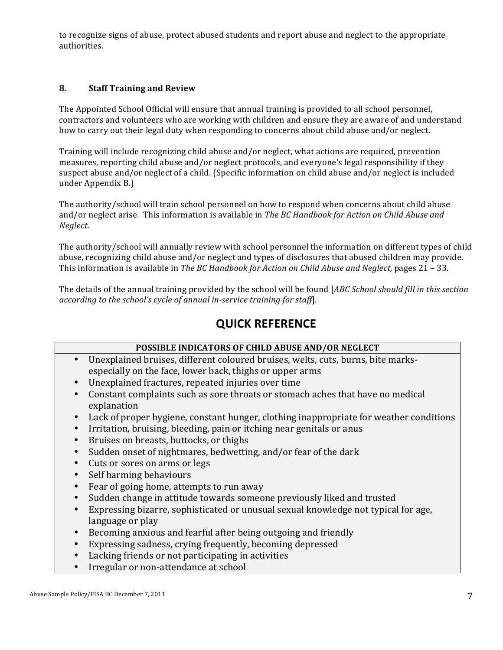to recognize signs of abuse, protect abused students and report abuse and neglect to the appropriate authorities.

## **8. Staff Training and Review**

The Appointed School Official will ensure that annual training is provided to all school personnel, contractors and volunteers who are working with children and ensure they are aware of and understand how to carry out their legal duty when responding to concerns about child abuse and/or neglect.

Training will include recognizing child abuse and/or neglect, what actions are required, prevention measures, reporting child abuse and/or neglect protocols, and everyone's legal responsibility if they suspect abuse and/or neglect of a child. (Specific information on child abuse and/or neglect is included under Appendix B.)

The authority/school will train school personnel on how to respond when concerns about child abuse and/or neglect arise. This information is available in *The BC Handbook for Action on Child Abuse and Neglect.*

The authority/school will annually review with school personnel the information on different types of child abuse, recognizing child abuse and/or neglect and types of disclosures that abused children may provide. This information is available in *The BC Handbook for Action on Child Abuse and Neglect,* pages 21 – 33.

The details of the annual training provided by the school will be found [*ABC School should fill in this section according to the school's cycle of annual in-service training for staff*].

# **QUICK REFERENCE**

| POSSIBLE INDICATORS OF CHILD ABUSE AND/OR NEGLECT                                      |
|----------------------------------------------------------------------------------------|
| Unexplained bruises, different coloured bruises, welts, cuts, burns, bite marks-       |
| especially on the face, lower back, thighs or upper arms                               |
| Unexplained fractures, repeated injuries over time                                     |
| Constant complaints such as sore throats or stomach aches that have no medical         |
| explanation                                                                            |
| Lack of proper hygiene, constant hunger, clothing inappropriate for weather conditions |
| Irritation, bruising, bleeding, pain or itching near genitals or anus                  |
| Bruises on breasts, buttocks, or thighs                                                |
| Sudden onset of nightmares, bedwetting, and/or fear of the dark                        |
| Cuts or sores on arms or legs                                                          |
| Self harming behaviours                                                                |
| Fear of going home, attempts to run away                                               |
| Sudden change in attitude towards someone previously liked and trusted                 |
| Expressing bizarre, sophisticated or unusual sexual knowledge not typical for age,     |
| language or play                                                                       |
| Becoming anxious and fearful after being outgoing and friendly                         |
| Expressing sadness, crying frequently, becoming depressed                              |

- Lacking friends or not participating in activities
- Irregular or non-attendance at school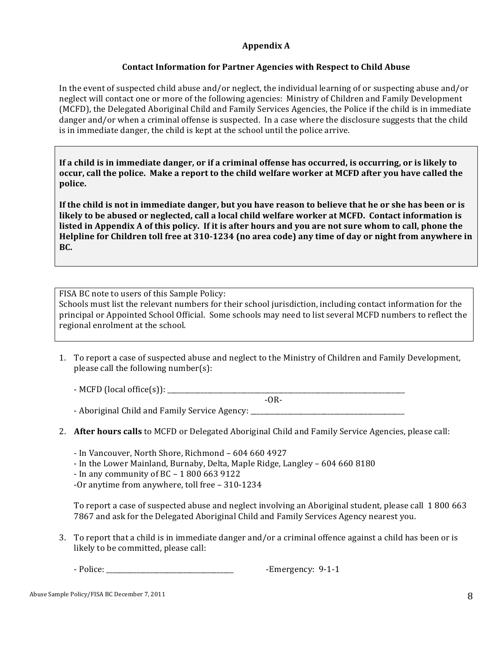## **Appendix A**

## **Contact Information for Partner Agencies with Respect to Child Abuse**

In the event of suspected child abuse and/or neglect, the individual learning of or suspecting abuse and/or neglect will contact one or more of the following agencies: Ministry of Children and Family Development (MCFD), the Delegated Aboriginal Child and Family Services Agencies, the Police if the child is in immediate danger and/or when a criminal offense is suspected. In a case where the disclosure suggests that the child is in immediate danger, the child is kept at the school until the police arrive.

If a child is in immediate danger, or if a criminal offense has occurred, is occurring, or is likely to **occur, call the police. Make a report to the child welfare worker at MCFD after you have called the police.**

**If the child is not in immediate danger, but you have reason to believe that he or she has been or is** likely to be abused or neglected, call a local child welfare worker at MCFD. Contact information is listed in Appendix A of this policy. If it is after hours and you are not sure whom to call, phone the **Helpline for Children toll free at 310-1234 (no area code) any time of day or night from anywhere in BC.**

FISA BC note to users of this Sample Policy: Schools must list the relevant numbers for their school jurisdiction, including contact information for the principal or Appointed School Official. Some schools may need to list several MCFD numbers to reflect the regional enrolment at the school.

1. To report a case of suspected abuse and neglect to the Ministry of Children and Family Development, please call the following number(s):

 $-$  MCFD (local office(s)):  $\_\_$  $-OR-$ 

- Aboriginal Child and Family Service Agency: \_\_\_\_\_\_\_\_\_\_\_\_\_\_\_\_\_\_\_\_\_\_\_\_\_\_\_\_\_\_\_\_\_\_\_

- 2. **After hours calls** to MCFD or Delegated Aboriginal Child and Family Service Agencies, please call:
	- In Vancouver, North Shore, Richmond 604 660 4927
	- In the Lower Mainland, Burnaby, Delta, Maple Ridge, Langley 604 660 8180
	- In any community of  $BC 18006639122$

-Or anytime from anywhere, toll free - 310-1234

To report a case of suspected abuse and neglect involving an Aboriginal student, please call 1800 663 7867 and ask for the Delegated Aboriginal Child and Family Services Agency nearest you.

3. To report that a child is in immediate danger and/or a criminal offence against a child has been or is likely to be committed, please call:

- Police: Contract the extension of the extended Emergency: 9-1-1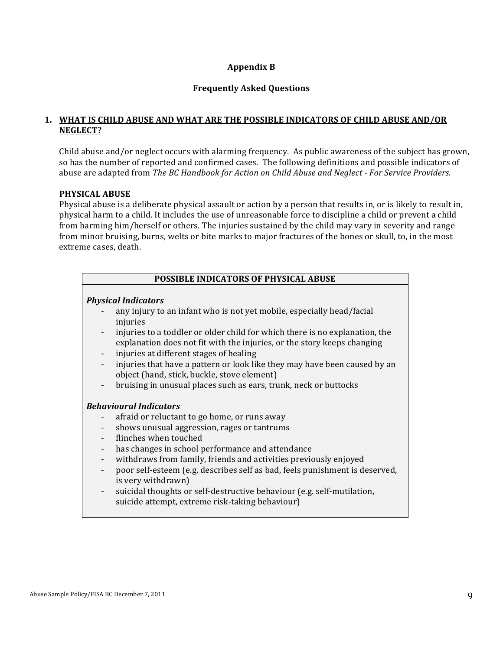## **Appendix B**

#### **Frequently Asked Questions**

## **1. WHAT IS CHILD ABUSE AND WHAT ARE THE POSSIBLE INDICATORS OF CHILD ABUSE AND/OR NEGLECT?**

Child abuse and/or neglect occurs with alarming frequency. As public awareness of the subject has grown, so has the number of reported and confirmed cases. The following definitions and possible indicators of abuse are adapted from *The BC Handbook for Action on Child Abuse and Neglect - For Service Providers.* 

#### **PHYSICAL ABUSE**

Physical abuse is a deliberate physical assault or action by a person that results in, or is likely to result in, physical harm to a child. It includes the use of unreasonable force to discipline a child or prevent a child from harming him/herself or others. The injuries sustained by the child may vary in severity and range from minor bruising, burns, welts or bite marks to major fractures of the bones or skull, to, in the most extreme cases, death.

| <b>POSSIBLE INDICATORS OF PHYSICAL ABUSE</b> |                                                                                                                                                                                                   |  |  |
|----------------------------------------------|---------------------------------------------------------------------------------------------------------------------------------------------------------------------------------------------------|--|--|
|                                              |                                                                                                                                                                                                   |  |  |
| <b>Physical Indicators</b>                   |                                                                                                                                                                                                   |  |  |
|                                              | any injury to an infant who is not yet mobile, especially head/facial<br>injuries                                                                                                                 |  |  |
|                                              | injuries to a toddler or older child for which there is no explanation, the<br>explanation does not fit with the injuries, or the story keeps changing<br>injuries at different stages of healing |  |  |
|                                              | injuries that have a pattern or look like they may have been caused by an<br>object (hand, stick, buckle, stove element)                                                                          |  |  |
|                                              | bruising in unusual places such as ears, trunk, neck or buttocks                                                                                                                                  |  |  |
| <b>Behavioural Indicators</b>                |                                                                                                                                                                                                   |  |  |
|                                              | afraid or reluctant to go home, or runs away                                                                                                                                                      |  |  |
| $\overline{\phantom{a}}$                     | shows unusual aggression, rages or tantrums                                                                                                                                                       |  |  |
|                                              | flinches when touched                                                                                                                                                                             |  |  |
|                                              | has changes in school performance and attendance                                                                                                                                                  |  |  |
|                                              | withdraws from family, friends and activities previously enjoyed                                                                                                                                  |  |  |
| $\overline{\phantom{a}}$                     | poor self-esteem (e.g. describes self as bad, feels punishment is deserved,                                                                                                                       |  |  |
|                                              | is very withdrawn)                                                                                                                                                                                |  |  |
| $\overline{\phantom{a}}$                     | suicidal thoughts or self-destructive behaviour (e.g. self-mutilation,<br>suicide attempt, extreme risk-taking behaviour)                                                                         |  |  |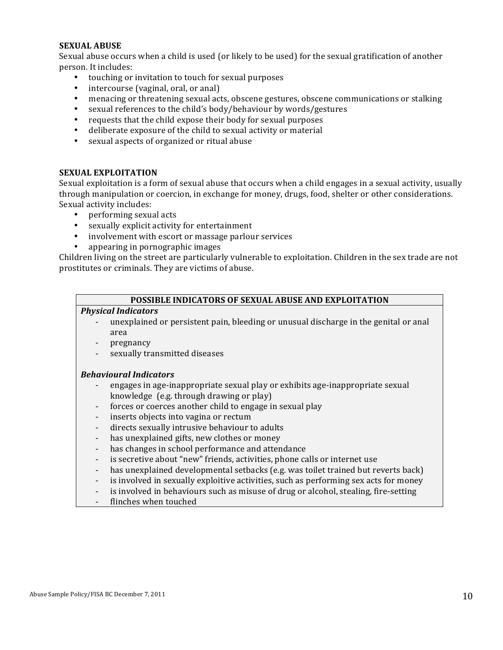#### **SEXUAL ABUSE**

Sexual abuse occurs when a child is used (or likely to be used) for the sexual gratification of another person. It includes:

- touching or invitation to touch for sexual purposes
- intercourse (vaginal, oral, or anal)
- menacing or threatening sexual acts, obscene gestures, obscene communications or stalking
- sexual references to the child's body/behaviour by words/gestures
- requests that the child expose their body for sexual purposes
- deliberate exposure of the child to sexual activity or material
- sexual aspects of organized or ritual abuse

#### **SEXUAL EXPLOITATION**

Sexual exploitation is a form of sexual abuse that occurs when a child engages in a sexual activity, usually through manipulation or coercion, in exchange for money, drugs, food, shelter or other considerations. Sexual activity includes:

- performing sexual acts
- sexually explicit activity for entertainment
- involvement with escort or massage parlour services
- appearing in pornographic images

Children living on the street are particularly vulnerable to exploitation. Children in the sex trade are not prostitutes or criminals. They are victims of abuse.

#### **POSSIBLE INDICATORS OF SEXUAL ABUSE AND EXPLOITATION**

#### *Physical Indicators*

- unexplained or persistent pain, bleeding or unusual discharge in the genital or anal area
- pregnancy
- sexually transmitted diseases

#### *Behavioural Indicators*

- engages in age-inappropriate sexual play or exhibits age-inappropriate sexual knowledge  $(e.g.$  through drawing or play)
- forces or coerces another child to engage in sexual play
- inserts objects into vagina or rectum
- directs sexually intrusive behaviour to adults
- has unexplained gifts, new clothes or money
- has changes in school performance and attendance
- is secretive about "new" friends, activities, phone calls or internet use
- has unexplained developmental setbacks (e.g. was toilet trained but reverts back)
- is involved in sexually exploitive activities, such as performing sex acts for money
- is involved in behaviours such as misuse of drug or alcohol, stealing, fire-setting
- flinches when touched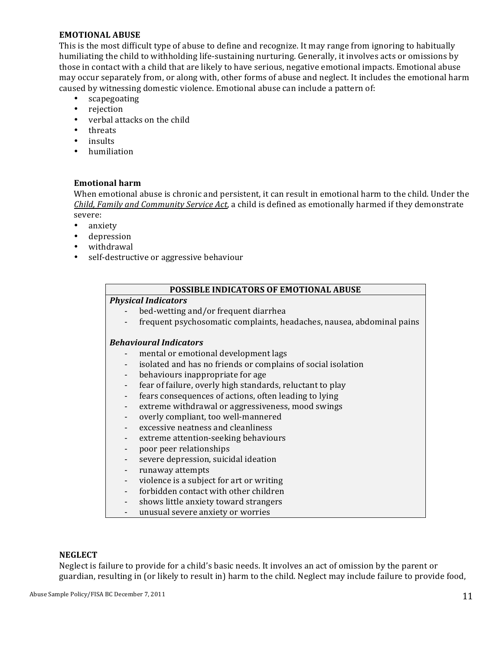#### **EMOTIONAL ABUSE**

This is the most difficult type of abuse to define and recognize. It may range from ignoring to habitually humiliating the child to withholding life-sustaining nurturing. Generally, it involves acts or omissions by those in contact with a child that are likely to have serious, negative emotional impacts. Emotional abuse may occur separately from, or along with, other forms of abuse and neglect. It includes the emotional harm caused by witnessing domestic violence. Emotional abuse can include a pattern of:

- scapegoating
- rejection
- verbal attacks on the child
- threats
- insults
- humiliation

## **Emotional harm**

When emotional abuse is chronic and persistent, it can result in emotional harm to the child. Under the *Child, Family and Community Service Act*, a child is defined as emotionally harmed if they demonstrate severe:

- anxiety
- depression
- withdrawal
- self-destructive or aggressive behaviour

#### **POSSIBLE INDICATORS OF EMOTIONAL ABUSE**

#### *Physical Indicators*

- bed-wetting and/or frequent diarrhea
- frequent psychosomatic complaints, headaches, nausea, abdominal pains

#### *Behavioural Indicators*

- mental or emotional development lags
- isolated and has no friends or complains of social isolation
- behaviours inappropriate for age
- fear of failure, overly high standards, reluctant to play
- fears consequences of actions, often leading to lying
- extreme withdrawal or aggressiveness, mood swings
- overly compliant, too well-mannered
- excessive neatness and cleanliness
- extreme attention-seeking behaviours
- poor peer relationships
- severe depression, suicidal ideation
- runaway attempts
- violence is a subject for art or writing
- forbidden contact with other children
- shows little anxiety toward strangers
- unusual severe anxiety or worries

#### **NEGLECT**

Neglect is failure to provide for a child's basic needs. It involves an act of omission by the parent or guardian, resulting in (or likely to result in) harm to the child. Neglect may include failure to provide food,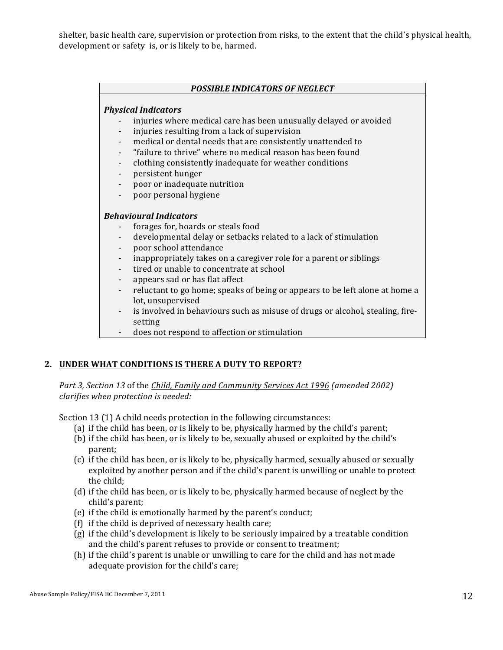shelter, basic health care, supervision or protection from risks, to the extent that the child's physical health, development or safety is, or is likely to be, harmed.

#### **POSSIBLE INDICATORS OF NEGLECT**

#### *Physical Indicators*

- injuries where medical care has been unusually delayed or avoided
- injuries resulting from a lack of supervision
- medical or dental needs that are consistently unattended to
- "failure to thrive" where no medical reason has been found
- clothing consistently inadequate for weather conditions
- persistent hunger
- poor or inadequate nutrition
- poor personal hygiene

#### *Behavioural Indicators*

- forages for, hoards or steals food
- developmental delay or setbacks related to a lack of stimulation
- poor school attendance
- inappropriately takes on a caregiver role for a parent or siblings
- tired or unable to concentrate at school
- appears sad or has flat affect
- reluctant to go home; speaks of being or appears to be left alone at home a lot, unsupervised
- is involved in behaviours such as misuse of drugs or alcohol, stealing, firesetting
- does not respond to affection or stimulation

#### 2. **UNDER WHAT CONDITIONS IS THERE A DUTY TO REPORT?**

Part 3, Section 13 of the *Child, Family and Community Services Act* 1996 (amended 2002) *clarifies when protection is needed:*

Section 13 (1) A child needs protection in the following circumstances:

- (a) if the child has been, or is likely to be, physically harmed by the child's parent;
- (b) if the child has been, or is likely to be, sexually abused or exploited by the child's parent;
- (c) if the child has been, or is likely to be, physically harmed, sexually abused or sexually exploited by another person and if the child's parent is unwilling or unable to protect the child:
- (d) if the child has been, or is likely to be, physically harmed because of neglect by the child's parent;
- (e) if the child is emotionally harmed by the parent's conduct;
- (f) if the child is deprived of necessary health care;
- $(g)$  if the child's development is likely to be seriously impaired by a treatable condition and the child's parent refuses to provide or consent to treatment;
- (h) if the child's parent is unable or unwilling to care for the child and has not made adequate provision for the child's care;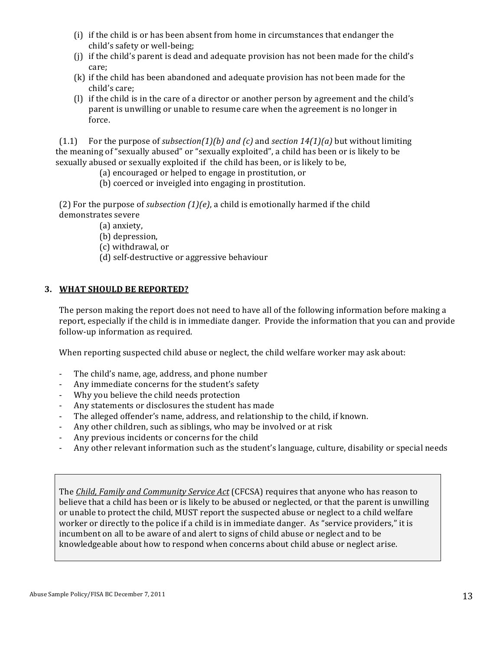- (i) if the child is or has been absent from home in circumstances that endanger the child's safety or well-being;
- (i) if the child's parent is dead and adequate provision has not been made for the child's care;
- (k) if the child has been abandoned and adequate provision has not been made for the child's care:
- (1) if the child is in the care of a director or another person by agreement and the child's parent is unwilling or unable to resume care when the agreement is no longer in force.

(1.1) For the purpose of *subsection(1)(b)* and *(c)* and *section*  $14(1)(a)$  but without limiting the meaning of "sexually abused" or "sexually exploited", a child has been or is likely to be sexually abused or sexually exploited if the child has been, or is likely to be,

(a) encouraged or helped to engage in prostitution, or

(b) coerced or inveigled into engaging in prostitution.

(2) For the purpose of *subsection*  $(1)(e)$ , a child is emotionally harmed if the child demonstrates severe

(a) anxiety,

(b) depression,

(c) withdrawal, or

(d) self-destructive or aggressive behaviour

## **3. WHAT SHOULD BE REPORTED?**

The person making the report does not need to have all of the following information before making a report, especially if the child is in immediate danger. Provide the information that you can and provide follow-up information as required.

When reporting suspected child abuse or neglect, the child welfare worker may ask about:

- The child's name, age, address, and phone number
- Any immediate concerns for the student's safety
- Why you believe the child needs protection
- Any statements or disclosures the student has made
- The alleged offender's name, address, and relationship to the child, if known.
- Any other children, such as siblings, who may be involved or at risk
- Any previous incidents or concerns for the child
- Any other relevant information such as the student's language, culture, disability or special needs

The *Child, Family and Community Service Act* (CFCSA) requires that anyone who has reason to believe that a child has been or is likely to be abused or neglected, or that the parent is unwilling or unable to protect the child, MUST report the suspected abuse or neglect to a child welfare worker or directly to the police if a child is in immediate danger. As "service providers," it is incumbent on all to be aware of and alert to signs of child abuse or neglect and to be knowledgeable about how to respond when concerns about child abuse or neglect arise.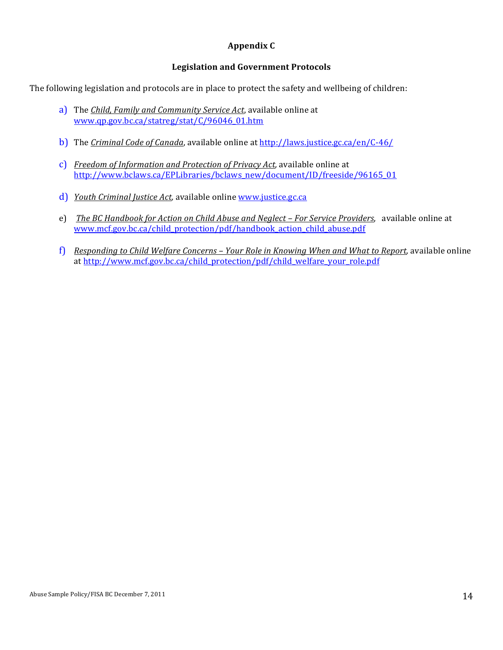## **Appendix C**

## **Legislation and Government Protocols**

The following legislation and protocols are in place to protect the safety and wellbeing of children:

- a) The *Child, Family and Community Service Act*, available online at www.qp.gov.bc.ca/statreg/stat/C/96046\_01.htm
- b) The *Criminal Code of Canada*, available online at http://laws.justice.gc.ca/en/C-46/
- c) *Freedom of Information and Protection of Privacy Act*, available online at http://www.bclaws.ca/EPLibraries/bclaws\_new/document/ID/freeside/96165\_01
- d) *Youth Criminal Justice Act*, available online www.justice.gc.ca
- e) *The BC Handbook for Action on Child Abuse and Neglect For Service Providers*, available online at www.mcf.gov.bc.ca/child\_protection/pdf/handbook\_action\_child\_abuse.pdf
- f) *Responding to Child Welfare Concerns Your Role in Knowing When and What to Report, available online* at http://www.mcf.gov.bc.ca/child\_protection/pdf/child\_welfare\_your\_role.pdf